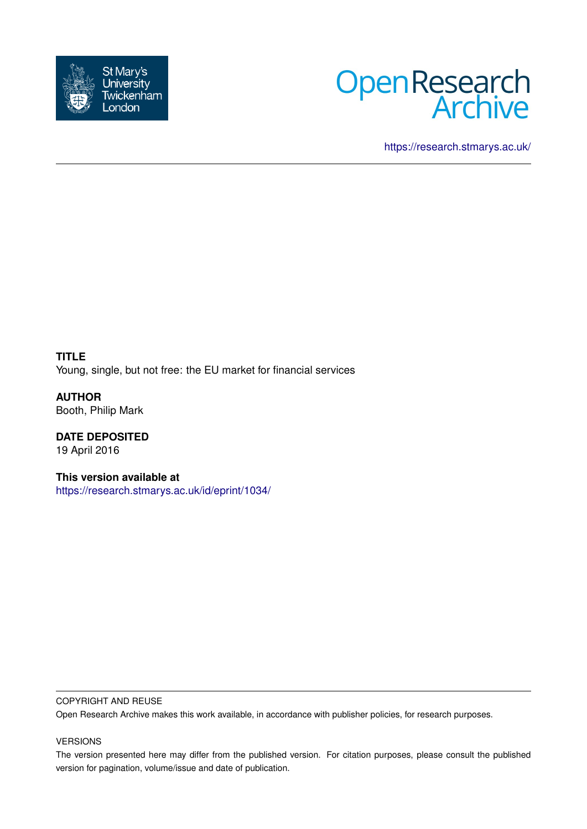



<https://research.stmarys.ac.uk/>

**TITLE** Young, single, but not free: the EU market for financial services

**AUTHOR** Booth, Philip Mark

**DATE DEPOSITED** 19 April 2016

**This version available at** <https://research.stmarys.ac.uk/id/eprint/1034/>

### COPYRIGHT AND REUSE

Open Research Archive makes this work available, in accordance with publisher policies, for research purposes.

### VERSIONS

The version presented here may differ from the published version. For citation purposes, please consult the published version for pagination, volume/issue and date of publication.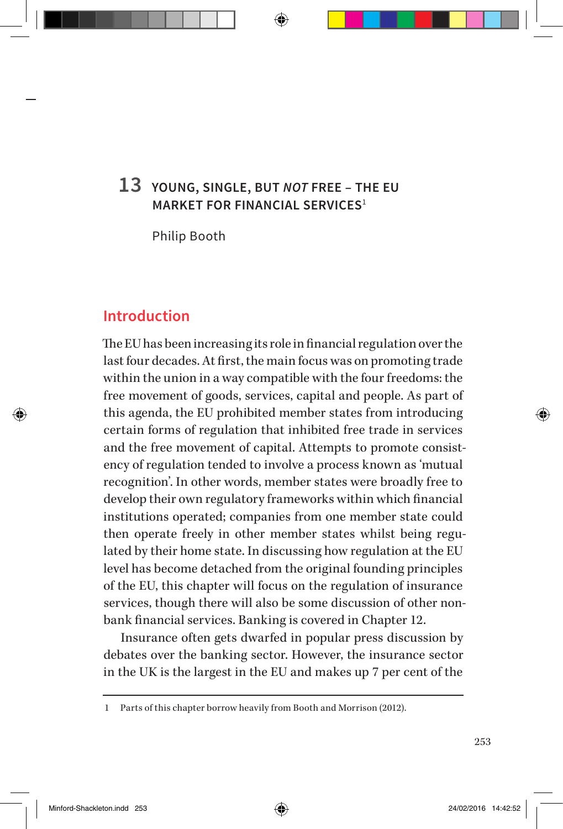# **13 YOUNG, SINGLE, BUT** *NOT* **FREE – THE EU MARKET FOR FINANCIAL SERVICES**<sup>1</sup>

Philip Booth

## **Introduction**

The EU has been increasing its role in financial regulation over the last four decades. At first, the main focus was on promoting trade within the union in a way compatible with the four freedoms: the free movement of goods, services, capital and people. As part of this agenda, the EU prohibited member states from introducing certain forms of regulation that inhibited free trade in services and the free movement of capital. Attempts to promote consistency of regulation tended to involve a process known as 'mutual recognition'. In other words, member states were broadly free to develop their own regulatory frameworks within which financial institutions operated; companies from one member state could then operate freely in other member states whilst being regulated by their home state. In discussing how regulation at the EU level has become detached from the original founding principles of the EU, this chapter will focus on the regulation of insurance services, though there will also be some discussion of other nonbank financial services. Banking is covered in Chapter 12.

Insurance often gets dwarfed in popular press discussion by debates over the banking sector. However, the insurance sector in the UK is the largest in the EU and makes up 7 per cent of the

<sup>1</sup> Parts of this chapter borrow heavily from Booth and Morrison (2012).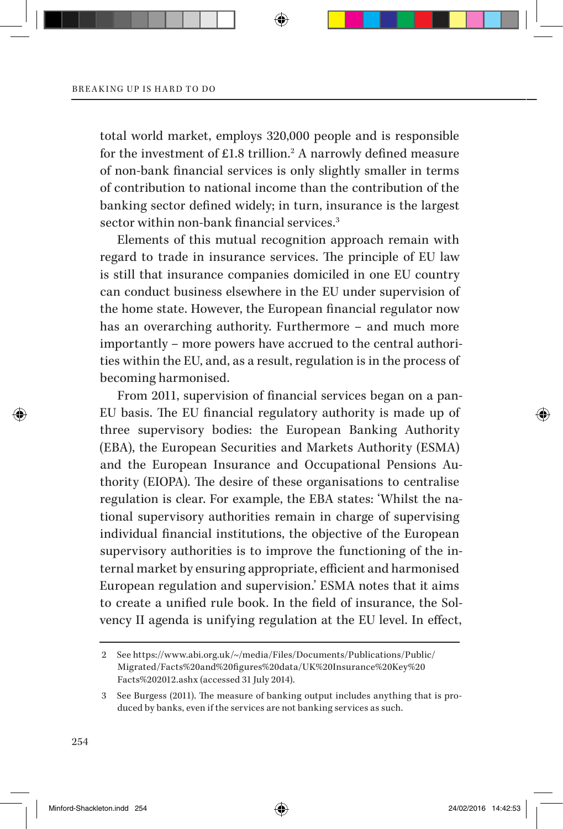total world market, employs 320,000 people and is responsible for the investment of  $£1.8$  trillion.<sup>2</sup> A narrowly defined measure of non-bank financial services is only slightly smaller in terms of contribution to national income than the contribution of the banking sector defined widely; in turn, insurance is the largest sector within non-bank financial services.<sup>3</sup>

Elements of this mutual recognition approach remain with regard to trade in insurance services. The principle of EU law is still that insurance companies domiciled in one EU country can conduct business elsewhere in the EU under supervision of the home state. However, the European financial regulator now has an overarching authority. Furthermore – and much more importantly – more powers have accrued to the central authorities within the EU, and, as a result, regulation is in the process of becoming harmonised.

From 2011, supervision of financial services began on a pan-EU basis. The EU financial regulatory authority is made up of three supervisory bodies: the European Banking Authority (EBA), the European Securities and Markets Authority (ESMA) and the European Insurance and Occupational Pensions Authority (EIOPA). The desire of these organisations to centralise regulation is clear. For example, the EBA states: 'Whilst the national supervisory authorities remain in charge of supervising individual financial institutions, the objective of the European supervisory authorities is to improve the functioning of the internal market by ensuring appropriate, efficient and harmonised European regulation and supervision.' ESMA notes that it aims to create a unified rule book. In the field of insurance, the Solvency II agenda is unifying regulation at the EU level. In effect,

<sup>2</sup> See https://www.abi.org.uk/~/media/Files/Documents/Publications/Public/ Migrated/Facts%20and%20figures%20data/UK%20Insurance%20Key%20 Facts%202012.ashx (accessed 31 July 2014).

<sup>3</sup> See Burgess (2011). The measure of banking output includes anything that is produced by banks, even if the services are not banking services as such.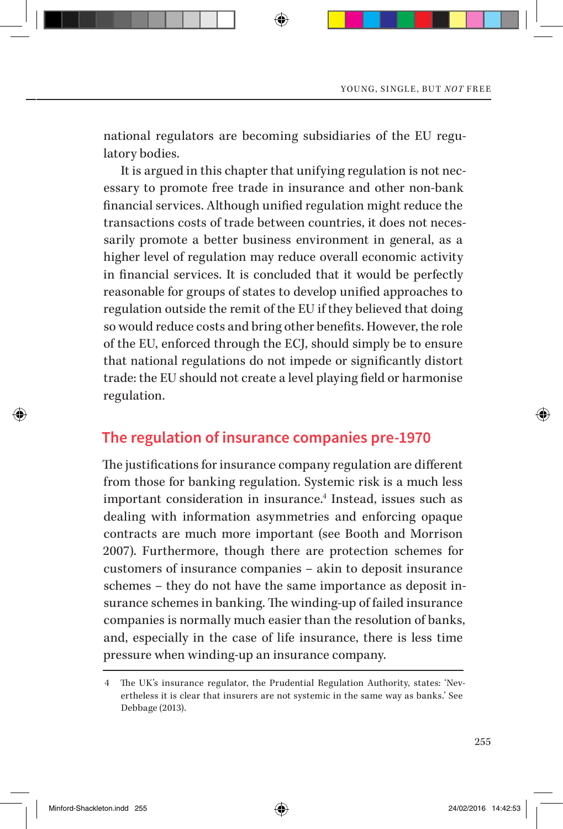national regulators are becoming subsidiaries of the EU regulatory bodies.

It is argued in this chapter that unifying regulation is not necessary to promote free trade in insurance and other non-bank financial services. Although unified regulation might reduce the transactions costs of trade between countries, it does not necessarily promote a better business environment in general, as a higher level of regulation may reduce overall economic activity in financial services. It is concluded that it would be perfectly reasonable for groups of states to develop unified approaches to regulation outside the remit of the EU if they believed that doing so would reduce costs and bring other benefits. However, the role of the EU, enforced through the ECJ, should simply be to ensure that national regulations do not impede or significantly distort trade: the EU should not create a level playing field or harmonise regulation.

# **The regulation of insurance companies pre-1970**

The justifications for insurance company regulation are different from those for banking regulation. Systemic risk is a much less important consideration in insurance.4 Instead, issues such as dealing with information asymmetries and enforcing opaque contracts are much more important (see Booth and Morrison 2007). Furthermore, though there are protection schemes for customers of insurance companies – akin to deposit insurance schemes – they do not have the same importance as deposit insurance schemes in banking. The winding-up of failed insurance companies is normally much easier than the resolution of banks, and, especially in the case of life insurance, there is less time pressure when winding-up an insurance company.

(♠)

The UK's insurance regulator, the Prudential Regulation Authority, states: 'Nevertheless it is clear that insurers are not systemic in the same way as banks.' See Debbage (2013).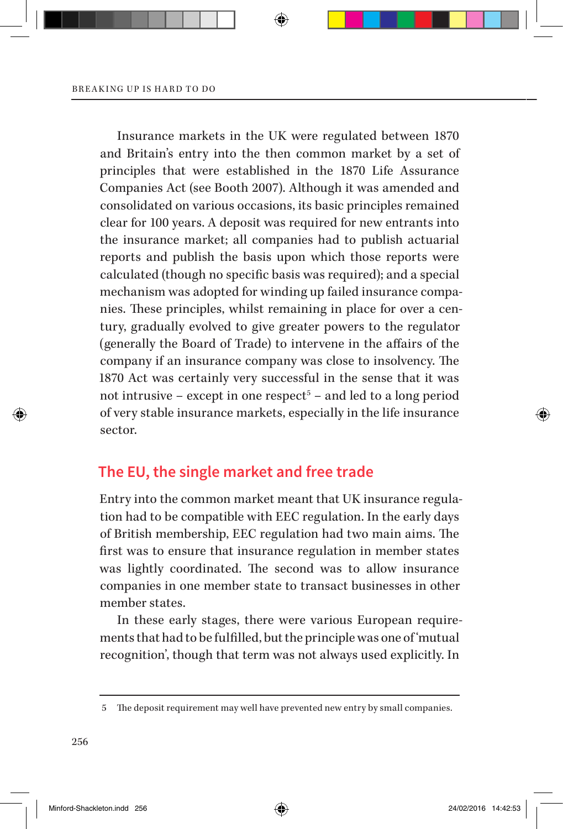Insurance markets in the UK were regulated between 1870 and Britain's entry into the then common market by a set of principles that were established in the 1870 Life Assurance Companies Act (see Booth 2007). Although it was amended and consolidated on various occasions, its basic principles remained clear for 100 years. A deposit was required for new entrants into the insurance market; all companies had to publish actuarial reports and publish the basis upon which those reports were calculated (though no specific basis was required); and a special mechanism was adopted for winding up failed insurance companies. These principles, whilst remaining in place for over a century, gradually evolved to give greater powers to the regulator (generally the Board of Trade) to intervene in the affairs of the company if an insurance company was close to insolvency. The 1870 Act was certainly very successful in the sense that it was not intrusive – except in one respect<sup>5</sup> – and led to a long period of very stable insurance markets, especially in the life insurance sector.

# **The EU, the single market and free trade**

Entry into the common market meant that UK insurance regulation had to be compatible with EEC regulation. In the early days of British membership, EEC regulation had two main aims. The first was to ensure that insurance regulation in member states was lightly coordinated. The second was to allow insurance companies in one member state to transact businesses in other member states.

In these early stages, there were various European requirements that had to be fulfilled, but the principle was one of 'mutual recognition', though that term was not always used explicitly. In

<sup>5</sup> The deposit requirement may well have prevented new entry by small companies.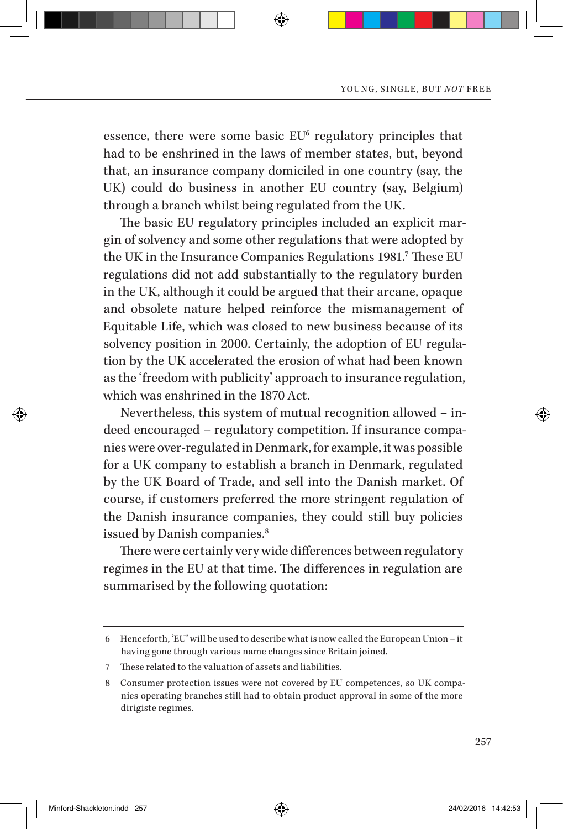essence, there were some basic  $EU^6$  regulatory principles that had to be enshrined in the laws of member states, but, beyond that, an insurance company domiciled in one country (say, the UK) could do business in another EU country (say, Belgium) through a branch whilst being regulated from the UK.

The basic EU regulatory principles included an explicit margin of solvency and some other regulations that were adopted by the UK in the Insurance Companies Regulations 1981.7 These EU regulations did not add substantially to the regulatory burden in the UK, although it could be argued that their arcane, opaque and obsolete nature helped reinforce the mismanagement of Equitable Life, which was closed to new business because of its solvency position in 2000. Certainly, the adoption of EU regulation by the UK accelerated the erosion of what had been known as the 'freedom with publicity' approach to insurance regulation, which was enshrined in the 1870 Act.

Nevertheless, this system of mutual recognition allowed – indeed encouraged – regulatory competition. If insurance companies were over-regulated in Denmark, for example, it was possible for a UK company to establish a branch in Denmark, regulated by the UK Board of Trade, and sell into the Danish market. Of course, if customers preferred the more stringent regulation of the Danish insurance companies, they could still buy policies issued by Danish companies.<sup>8</sup>

There were certainly very wide differences between regulatory regimes in the EU at that time. The differences in regulation are summarised by the following quotation:

<sup>6</sup> Henceforth, 'EU' will be used to describe what is now called the European Union – it having gone through various name changes since Britain joined.

<sup>7</sup> These related to the valuation of assets and liabilities.

<sup>8</sup> Consumer protection issues were not covered by EU competences, so UK companies operating branches still had to obtain product approval in some of the more dirigiste regimes.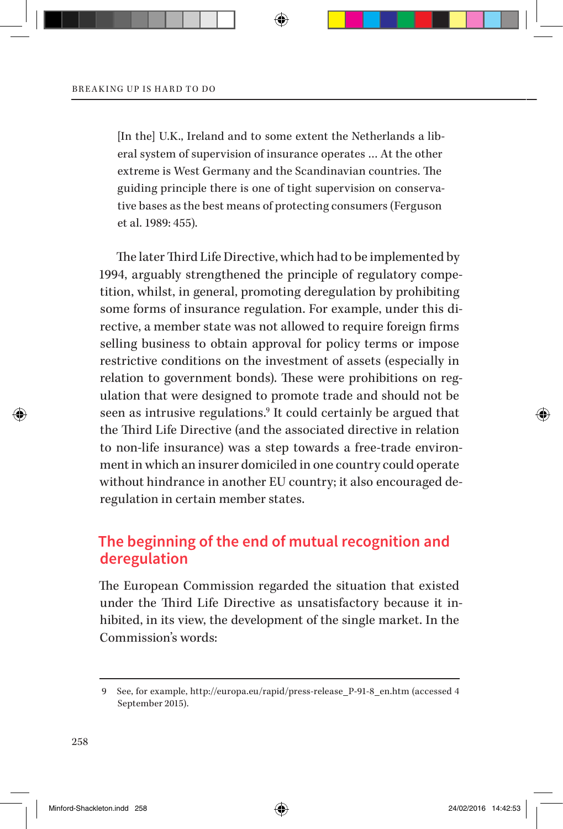[In the] U.K., Ireland and to some extent the Netherlands a liberal system of supervision of insurance operates … At the other extreme is West Germany and the Scandinavian countries. The guiding principle there is one of tight supervision on conservative bases as the best means of protecting consumers (Ferguson et al. 1989: 455).

The later Third Life Directive, which had to be implemented by 1994, arguably strengthened the principle of regulatory competition, whilst, in general, promoting deregulation by prohibiting some forms of insurance regulation. For example, under this directive, a member state was not allowed to require foreign firms selling business to obtain approval for policy terms or impose restrictive conditions on the investment of assets (especially in relation to government bonds). These were prohibitions on regulation that were designed to promote trade and should not be seen as intrusive regulations.<sup>9</sup> It could certainly be argued that the Third Life Directive (and the associated directive in relation to non-life insurance) was a step towards a free-trade environment in which an insurer domiciled in one country could operate without hindrance in another EU country; it also encouraged deregulation in certain member states.

# **The beginning of the end of mutual recognition and deregulation**

The European Commission regarded the situation that existed under the Third Life Directive as unsatisfactory because it inhibited, in its view, the development of the single market. In the Commission's words:



<sup>9</sup> See, for example, http://europa.eu/rapid/press-release\_P-91-8\_en.htm (accessed 4 September 2015).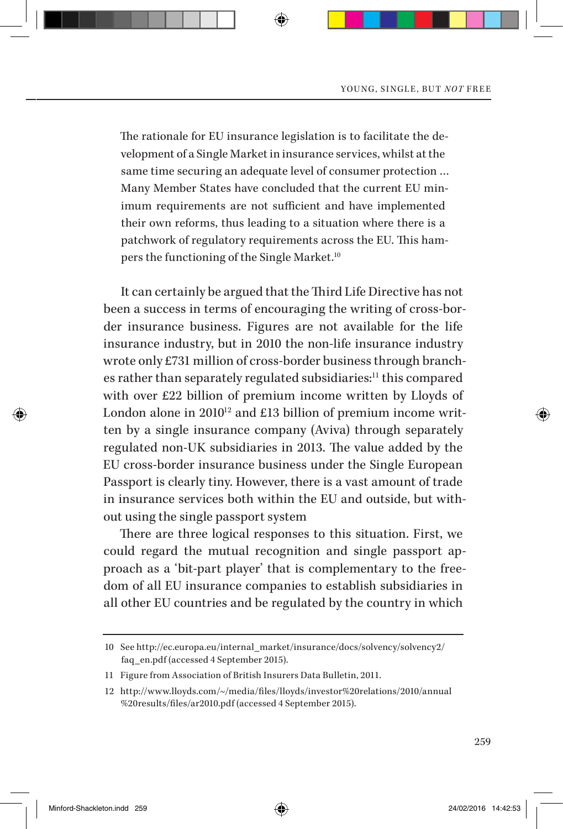The rationale for EU insurance legislation is to facilitate the development of a Single Market in insurance services, whilst at the same time securing an adequate level of consumer protection … Many Member States have concluded that the current EU minimum requirements are not sufficient and have implemented their own reforms, thus leading to a situation where there is a patchwork of regulatory requirements across the EU. This hampers the functioning of the Single Market.<sup>10</sup>

It can certainly be argued that the Third Life Directive has not been a success in terms of encouraging the writing of cross-border insurance business. Figures are not available for the life insurance industry, but in 2010 the non-life insurance industry wrote only £731 million of cross-border business through branches rather than separately regulated subsidiaries:<sup>11</sup> this compared with over £22 billion of premium income written by Lloyds of London alone in  $2010^{12}$  and £13 billion of premium income written by a single insurance company (Aviva) through separately regulated non-UK subsidiaries in 2013. The value added by the EU cross-border insurance business under the Single European Passport is clearly tiny. However, there is a vast amount of trade in insurance services both within the EU and outside, but without using the single passport system

There are three logical responses to this situation. First, we could regard the mutual recognition and single passport approach as a 'bit-part player' that is complementary to the freedom of all EU insurance companies to establish subsidiaries in all other EU countries and be regulated by the country in which

<sup>10</sup> See http://ec.europa.eu/internal\_market/insurance/docs/solvency/solvency2/ faq\_en.pdf (accessed 4 September 2015).

<sup>11</sup> Figure from Association of British Insurers Data Bulletin, 2011.

<sup>12</sup> http://www.lloyds.com/~/media/files/lloyds/investor%20relations/2010/annual %20results/files/ar2010.pdf (accessed 4 September 2015).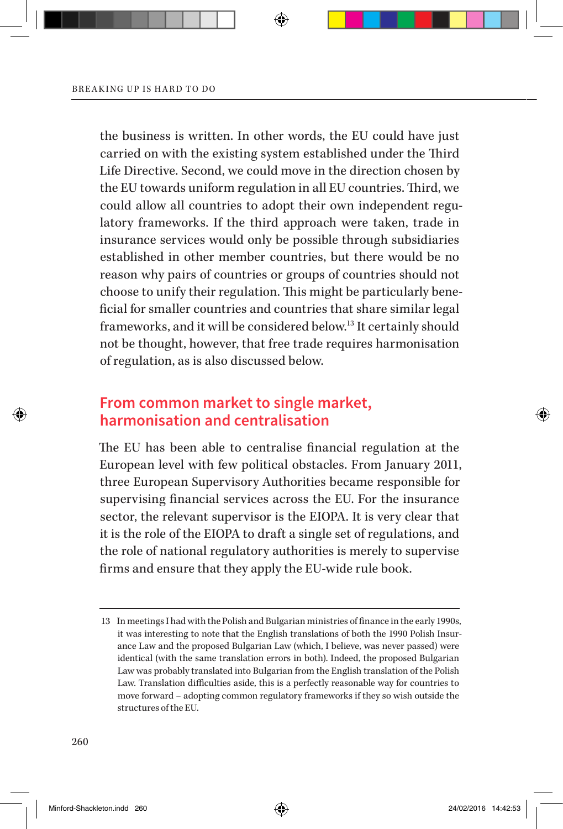the business is written. In other words, the EU could have just carried on with the existing system established under the Third Life Directive. Second, we could move in the direction chosen by the EU towards uniform regulation in all EU countries. Third, we could allow all countries to adopt their own independent regulatory frameworks. If the third approach were taken, trade in insurance services would only be possible through subsidiaries established in other member countries, but there would be no reason why pairs of countries or groups of countries should not choose to unify their regulation. This might be particularly beneficial for smaller countries and countries that share similar legal frameworks, and it will be considered below.13 It certainly should not be thought, however, that free trade requires harmonisation of regulation, as is also discussed below.

## **From common market to single market, harmonisation and centralisation**

The EU has been able to centralise financial regulation at the European level with few political obstacles. From January 2011, three European Supervisory Authorities became responsible for supervising financial services across the EU. For the insurance sector, the relevant supervisor is the EIOPA. It is very clear that it is the role of the EIOPA to draft a single set of regulations, and the role of national regulatory authorities is merely to supervise firms and ensure that they apply the EU-wide rule book.

<sup>13</sup> In meetings I had with the Polish and Bulgarian ministries of finance in the early 1990s, it was interesting to note that the English translations of both the 1990 Polish Insurance Law and the proposed Bulgarian Law (which, I believe, was never passed) were identical (with the same translation errors in both). Indeed, the proposed Bulgarian Law was probably translated into Bulgarian from the English translation of the Polish Law. Translation difficulties aside, this is a perfectly reasonable way for countries to move forward – adopting common regulatory frameworks if they so wish outside the structures of the EU.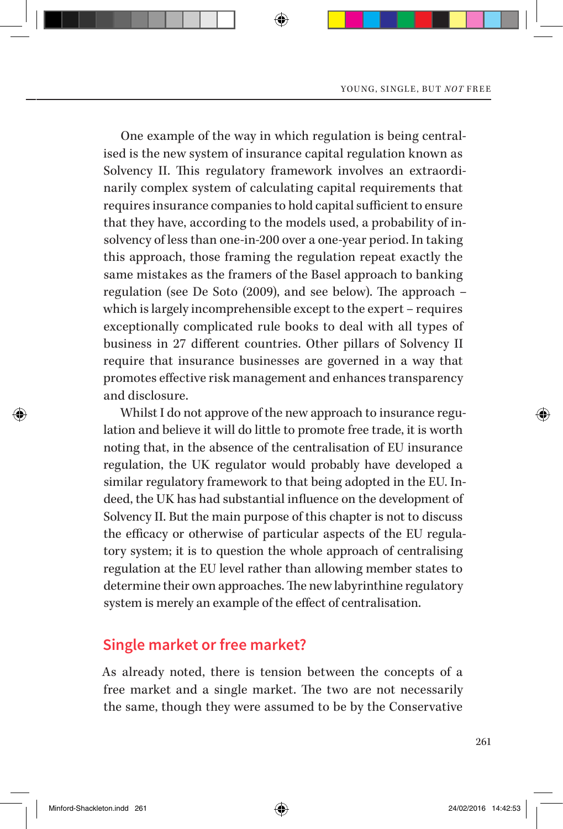One example of the way in which regulation is being centralised is the new system of insurance capital regulation known as Solvency II. This regulatory framework involves an extraordinarily complex system of calculating capital requirements that requires insurance companies to hold capital sufficient to ensure that they have, according to the models used, a probability of insolvency of less than one-in-200 over a one-year period. In taking this approach, those framing the regulation repeat exactly the same mistakes as the framers of the Basel approach to banking regulation (see De Soto (2009), and see below). The approach – which is largely incomprehensible except to the expert – requires exceptionally complicated rule books to deal with all types of business in 27 different countries. Other pillars of Solvency II require that insurance businesses are governed in a way that promotes effective risk management and enhances transparency and disclosure.

Whilst I do not approve of the new approach to insurance regulation and believe it will do little to promote free trade, it is worth noting that, in the absence of the centralisation of EU insurance regulation, the UK regulator would probably have developed a similar regulatory framework to that being adopted in the EU. Indeed, the UK has had substantial influence on the development of Solvency II. But the main purpose of this chapter is not to discuss the efficacy or otherwise of particular aspects of the EU regulatory system; it is to question the whole approach of centralising regulation at the EU level rather than allowing member states to determine their own approaches. The new labyrinthine regulatory system is merely an example of the effect of centralisation.

## **Single market or free market?**

As already noted, there is tension between the concepts of a free market and a single market. The two are not necessarily the same, though they were assumed to be by the Conservative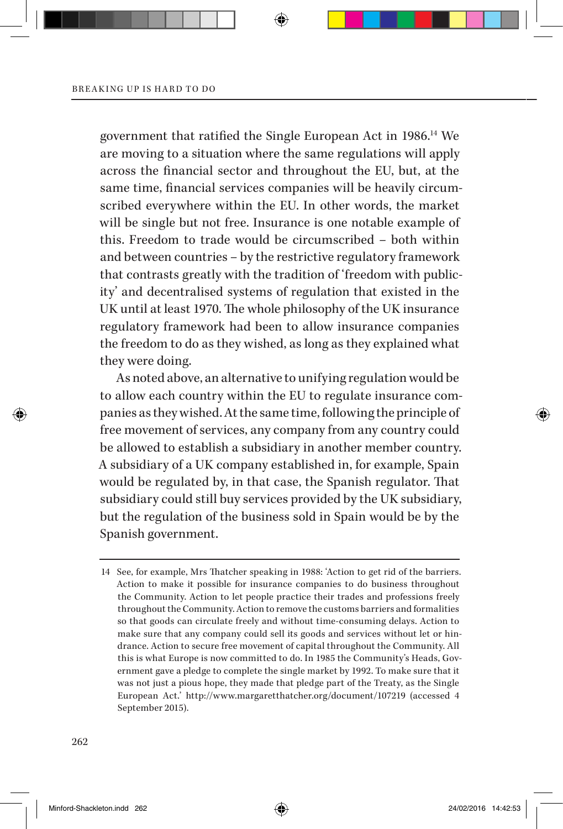government that ratified the Single European Act in 1986.14 We are moving to a situation where the same regulations will apply across the financial sector and throughout the EU, but, at the same time, financial services companies will be heavily circumscribed everywhere within the EU. In other words, the market will be single but not free. Insurance is one notable example of this. Freedom to trade would be circumscribed – both within and between countries – by the restrictive regulatory framework that contrasts greatly with the tradition of 'freedom with publicity' and decentralised systems of regulation that existed in the UK until at least 1970. The whole philosophy of the UK insurance regulatory framework had been to allow insurance companies the freedom to do as they wished, as long as they explained what they were doing.

As noted above, an alternative to unifying regulation would be to allow each country within the EU to regulate insurance companies as they wished. At the same time, following the principle of free movement of services, any company from any country could be allowed to establish a subsidiary in another member country. A subsidiary of a UK company established in, for example, Spain would be regulated by, in that case, the Spanish regulator. That subsidiary could still buy services provided by the UK subsidiary, but the regulation of the business sold in Spain would be by the Spanish government.

<sup>14</sup> See, for example, Mrs Thatcher speaking in 1988: 'Action to get rid of the barriers. Action to make it possible for insurance companies to do business throughout the Community. Action to let people practice their trades and professions freely throughout the Community. Action to remove the customs barriers and formalities so that goods can circulate freely and without time-consuming delays. Action to make sure that any company could sell its goods and services without let or hindrance. Action to secure free movement of capital throughout the Community. All this is what Europe is now committed to do. In 1985 the Community's Heads, Government gave a pledge to complete the single market by 1992. To make sure that it was not just a pious hope, they made that pledge part of the Treaty, as the Single European Act.' http://www.margaretthatcher.org/document/107219 (accessed 4 September 2015).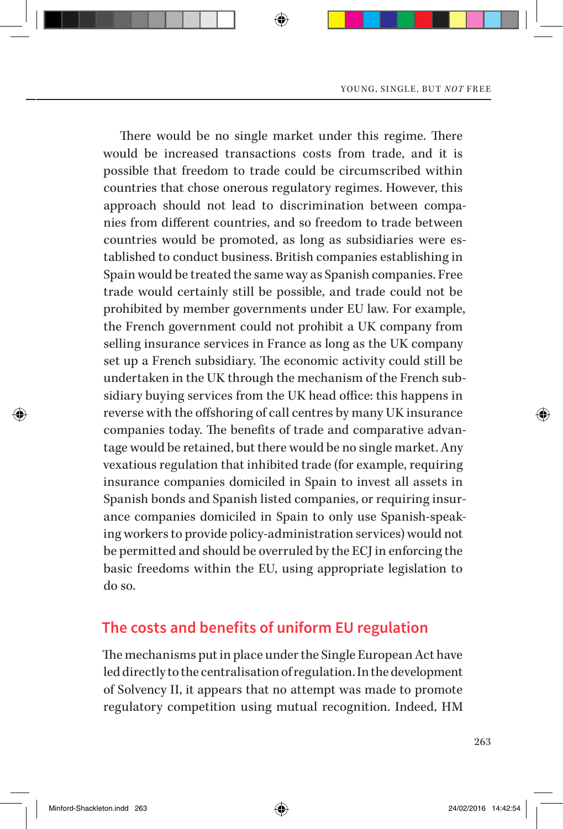There would be no single market under this regime. There would be increased transactions costs from trade, and it is possible that freedom to trade could be circumscribed within countries that chose onerous regulatory regimes. However, this approach should not lead to discrimination between companies from different countries, and so freedom to trade between countries would be promoted, as long as subsidiaries were established to conduct business. British companies establishing in Spain would be treated the same way as Spanish companies. Free trade would certainly still be possible, and trade could not be prohibited by member governments under EU law. For example, the French government could not prohibit a UK company from selling insurance services in France as long as the UK company set up a French subsidiary. The economic activity could still be undertaken in the UK through the mechanism of the French subsidiary buying services from the UK head office: this happens in reverse with the offshoring of call centres by many UK insurance companies today. The benefits of trade and comparative advantage would be retained, but there would be no single market. Any vexatious regulation that inhibited trade (for example, requiring insurance companies domiciled in Spain to invest all assets in Spanish bonds and Spanish listed companies, or requiring insurance companies domiciled in Spain to only use Spanish-speaking workers to provide policy-administration services) would not be permitted and should be overruled by the ECJ in enforcing the basic freedoms within the EU, using appropriate legislation to do so.

#### **The costs and benefits of uniform EU regulation**

The mechanisms put in place under the Single European Act have led directly to the centralisation of regulation. In the development of Solvency II, it appears that no attempt was made to promote regulatory competition using mutual recognition. Indeed, HM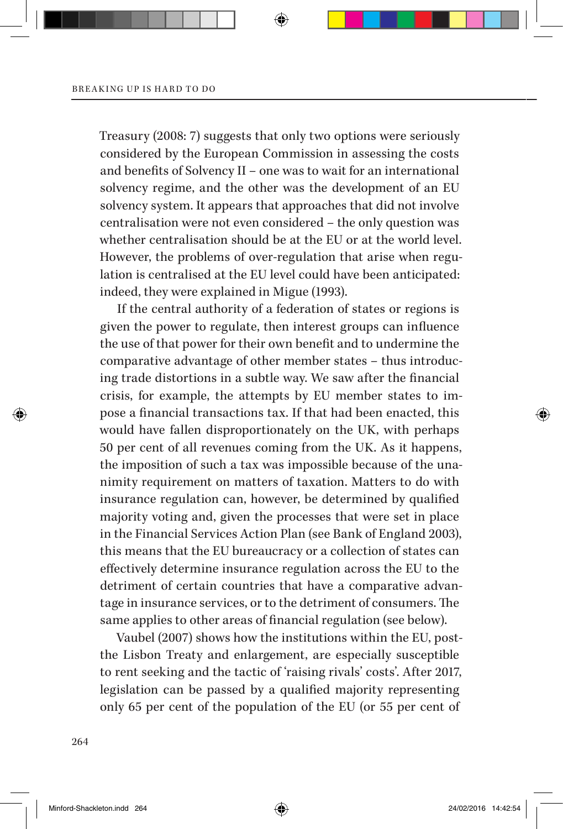Treasury (2008: 7) suggests that only two options were seriously considered by the European Commission in assessing the costs and benefits of Solvency II – one was to wait for an international solvency regime, and the other was the development of an EU solvency system. It appears that approaches that did not involve centralisation were not even considered – the only question was whether centralisation should be at the EU or at the world level. However, the problems of over-regulation that arise when regulation is centralised at the EU level could have been anticipated: indeed, they were explained in Migue (1993).

If the central authority of a federation of states or regions is given the power to regulate, then interest groups can influence the use of that power for their own benefit and to undermine the comparative advantage of other member states – thus introducing trade distortions in a subtle way. We saw after the financial crisis, for example, the attempts by EU member states to impose a financial transactions tax. If that had been enacted, this would have fallen disproportionately on the UK, with perhaps 50 per cent of all revenues coming from the UK. As it happens, the imposition of such a tax was impossible because of the unanimity requirement on matters of taxation. Matters to do with insurance regulation can, however, be determined by qualified majority voting and, given the processes that were set in place in the Financial Services Action Plan (see Bank of England 2003), this means that the EU bureaucracy or a collection of states can effectively determine insurance regulation across the EU to the detriment of certain countries that have a comparative advantage in insurance services, or to the detriment of consumers. The same applies to other areas of financial regulation (see below).

Vaubel (2007) shows how the institutions within the EU, postthe Lisbon Treaty and enlargement, are especially susceptible to rent seeking and the tactic of 'raising rivals' costs'. After 2017, legislation can be passed by a qualified majority representing only 65 per cent of the population of the EU (or 55 per cent of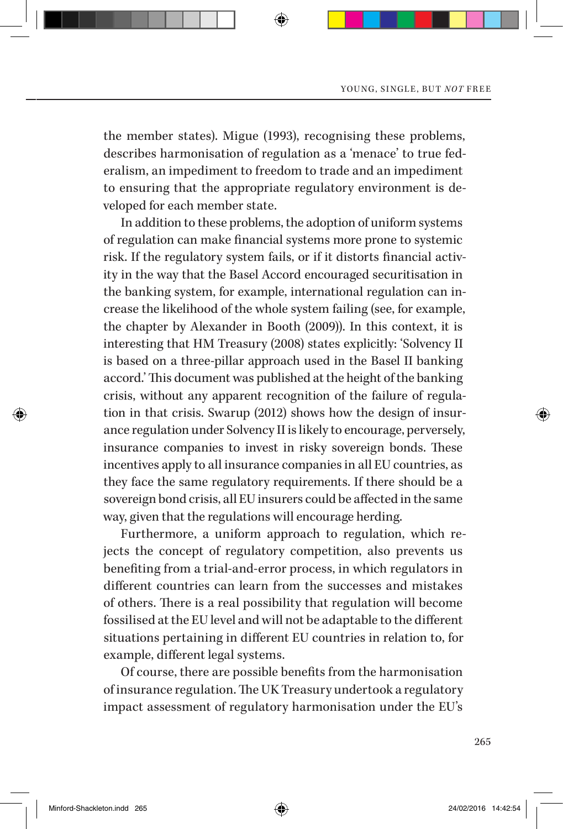the member states). Migue (1993), recognising these problems, describes harmonisation of regulation as a 'menace' to true federalism, an impediment to freedom to trade and an impediment to ensuring that the appropriate regulatory environment is developed for each member state.

In addition to these problems, the adoption of uniform systems of regulation can make financial systems more prone to systemic risk. If the regulatory system fails, or if it distorts financial activity in the way that the Basel Accord encouraged securitisation in the banking system, for example, international regulation can increase the likelihood of the whole system failing (see, for example, the chapter by Alexander in Booth (2009)). In this context, it is interesting that HM Treasury (2008) states explicitly: 'Solvency II is based on a three-pillar approach used in the Basel II banking accord.' This document was published at the height of the banking crisis, without any apparent recognition of the failure of regulation in that crisis. Swarup (2012) shows how the design of insurance regulation under Solvency II is likely to encourage, perversely, insurance companies to invest in risky sovereign bonds. These incentives apply to all insurance companies in all EU countries, as they face the same regulatory requirements. If there should be a sovereign bond crisis, all EU insurers could be affected in the same way, given that the regulations will encourage herding.

Furthermore, a uniform approach to regulation, which rejects the concept of regulatory competition, also prevents us benefiting from a trial-and-error process, in which regulators in different countries can learn from the successes and mistakes of others. There is a real possibility that regulation will become fossilised at the EU level and will not be adaptable to the different situations pertaining in different EU countries in relation to, for example, different legal systems.

Of course, there are possible benefits from the harmonisation of insurance regulation. The UK Treasury undertook a regulatory impact assessment of regulatory harmonisation under the EU's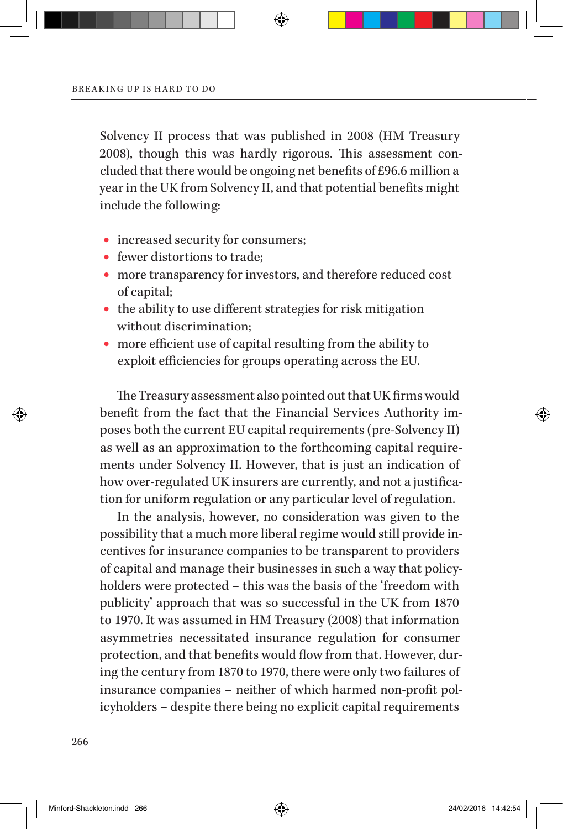Solvency II process that was published in 2008 (HM Treasury 2008), though this was hardly rigorous. This assessment concluded that there would be ongoing net benefits of £96.6 million a year in the UK from Solvency II, and that potential benefits might include the following:

- increased security for consumers;
- **•** fewer distortions to trade;
- **•** more transparency for investors, and therefore reduced cost of capital;
- the ability to use different strategies for risk mitigation without discrimination;
- **•** more efficient use of capital resulting from the ability to exploit efficiencies for groups operating across the EU.

The Treasury assessment also pointed out that UK firms would benefit from the fact that the Financial Services Authority imposes both the current EU capital requirements (pre-Solvency II) as well as an approximation to the forthcoming capital requirements under Solvency II. However, that is just an indication of how over-regulated UK insurers are currently, and not a justification for uniform regulation or any particular level of regulation.

In the analysis, however, no consideration was given to the possibility that a much more liberal regime would still provide incentives for insurance companies to be transparent to providers of capital and manage their businesses in such a way that policyholders were protected – this was the basis of the 'freedom with publicity' approach that was so successful in the UK from 1870 to 1970. It was assumed in HM Treasury (2008) that information asymmetries necessitated insurance regulation for consumer protection, and that benefits would flow from that. However, during the century from 1870 to 1970, there were only two failures of insurance companies – neither of which harmed non-profit policyholders – despite there being no explicit capital requirements

(♠)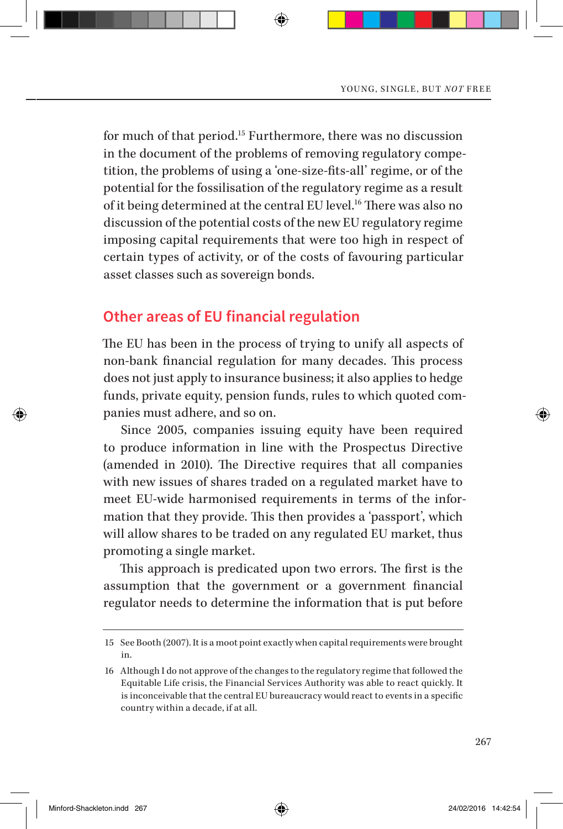for much of that period.15 Furthermore, there was no discussion in the document of the problems of removing regulatory competition, the problems of using a 'one-size-fits-all' regime, or of the potential for the fossilisation of the regulatory regime as a result of it being determined at the central EU level.16 There was also no discussion of the potential costs of the new EU regulatory regime imposing capital requirements that were too high in respect of certain types of activity, or of the costs of favouring particular asset classes such as sovereign bonds.

### **Other areas of EU financial regulation**

The EU has been in the process of trying to unify all aspects of non-bank financial regulation for many decades. This process does not just apply to insurance business; it also applies to hedge funds, private equity, pension funds, rules to which quoted companies must adhere, and so on.

Since 2005, companies issuing equity have been required to produce information in line with the Prospectus Directive (amended in 2010). The Directive requires that all companies with new issues of shares traded on a regulated market have to meet EU-wide harmonised requirements in terms of the information that they provide. This then provides a 'passport', which will allow shares to be traded on any regulated EU market, thus promoting a single market.

This approach is predicated upon two errors. The first is the assumption that the government or a government financial regulator needs to determine the information that is put before

<sup>15</sup> See Booth (2007). It is a moot point exactly when capital requirements were brought in.

<sup>16</sup> Although I do not approve of the changes to the regulatory regime that followed the Equitable Life crisis, the Financial Services Authority was able to react quickly. It is inconceivable that the central EU bureaucracy would react to events in a specific country within a decade, if at all.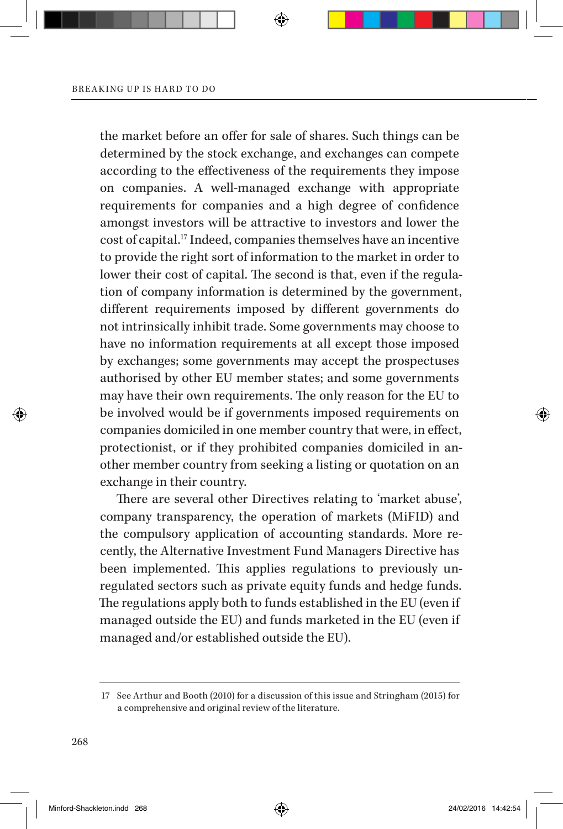the market before an offer for sale of shares. Such things can be determined by the stock exchange, and exchanges can compete according to the effectiveness of the requirements they impose on companies. A well-managed exchange with appropriate requirements for companies and a high degree of confidence amongst investors will be attractive to investors and lower the cost of capital.17 Indeed, companies themselves have an incentive to provide the right sort of information to the market in order to lower their cost of capital. The second is that, even if the regulation of company information is determined by the government, different requirements imposed by different governments do not intrinsically inhibit trade. Some governments may choose to have no information requirements at all except those imposed by exchanges; some governments may accept the prospectuses authorised by other EU member states; and some governments may have their own requirements. The only reason for the EU to be involved would be if governments imposed requirements on companies domiciled in one member country that were, in effect, protectionist, or if they prohibited companies domiciled in another member country from seeking a listing or quotation on an exchange in their country.

There are several other Directives relating to 'market abuse', company transparency, the operation of markets (MiFID) and the compulsory application of accounting standards. More recently, the Alternative Investment Fund Managers Directive has been implemented. This applies regulations to previously unregulated sectors such as private equity funds and hedge funds. The regulations apply both to funds established in the EU (even if managed outside the EU) and funds marketed in the EU (even if managed and/or established outside the EU).

<sup>17</sup> See Arthur and Booth (2010) for a discussion of this issue and Stringham (2015) for a comprehensive and original review of the literature.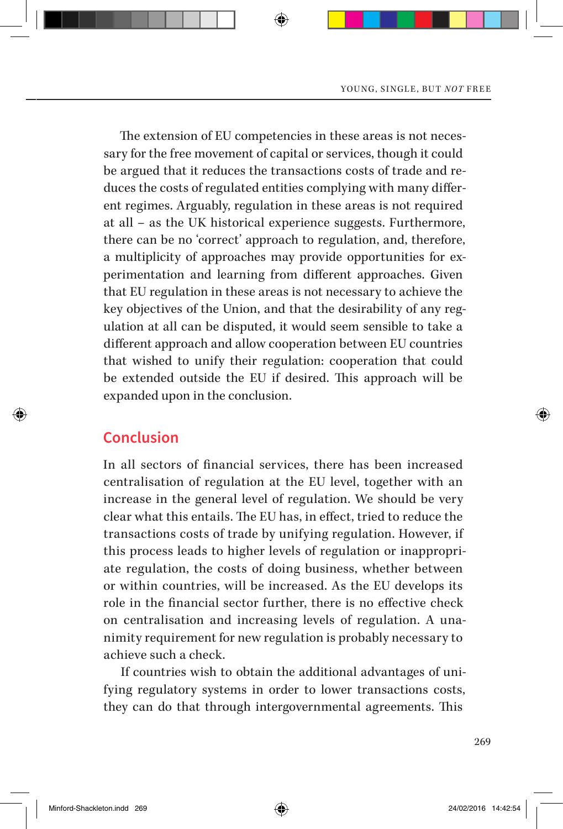The extension of EU competencies in these areas is not necessary for the free movement of capital or services, though it could be argued that it reduces the transactions costs of trade and reduces the costs of regulated entities complying with many different regimes. Arguably, regulation in these areas is not required at all – as the UK historical experience suggests. Furthermore, there can be no 'correct' approach to regulation, and, therefore, a multiplicity of approaches may provide opportunities for experimentation and learning from different approaches. Given that EU regulation in these areas is not necessary to achieve the key objectives of the Union, and that the desirability of any regulation at all can be disputed, it would seem sensible to take a different approach and allow cooperation between EU countries that wished to unify their regulation: cooperation that could be extended outside the EU if desired. This approach will be expanded upon in the conclusion.

#### **Conclusion**

In all sectors of financial services, there has been increased centralisation of regulation at the EU level, together with an increase in the general level of regulation. We should be very clear what this entails. The EU has, in effect, tried to reduce the transactions costs of trade by unifying regulation. However, if this process leads to higher levels of regulation or inappropriate regulation, the costs of doing business, whether between or within countries, will be increased. As the EU develops its role in the financial sector further, there is no effective check on centralisation and increasing levels of regulation. A unanimity requirement for new regulation is probably necessary to achieve such a check.

If countries wish to obtain the additional advantages of unifying regulatory systems in order to lower transactions costs, they can do that through intergovernmental agreements. This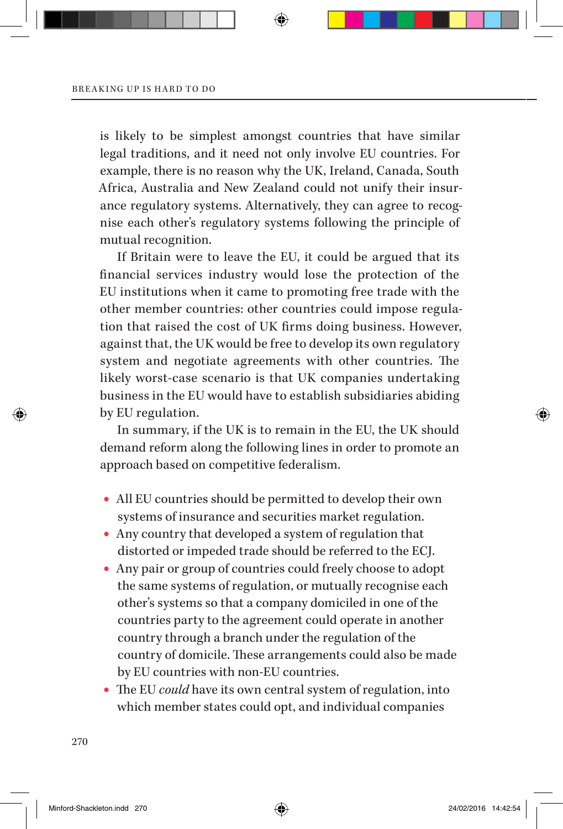is likely to be simplest amongst countries that have similar legal traditions, and it need not only involve EU countries. For example, there is no reason why the UK, Ireland, Canada, South Africa, Australia and New Zealand could not unify their insurance regulatory systems. Alternatively, they can agree to recognise each other's regulatory systems following the principle of mutual recognition.

If Britain were to leave the EU, it could be argued that its financial services industry would lose the protection of the EU institutions when it came to promoting free trade with the other member countries: other countries could impose regulation that raised the cost of UK firms doing business. However, against that, the UK would be free to develop its own regulatory system and negotiate agreements with other countries. The likely worst-case scenario is that UK companies undertaking business in the EU would have to establish subsidiaries abiding by EU regulation.

In summary, if the UK is to remain in the EU, the UK should demand reform along the following lines in order to promote an approach based on competitive federalism.

- **•** All EU countries should be permitted to develop their own systems of insurance and securities market regulation.
- **•** Any country that developed a system of regulation that distorted or impeded trade should be referred to the ECJ.
- **•** Any pair or group of countries could freely choose to adopt the same systems of regulation, or mutually recognise each other's systems so that a company domiciled in one of the countries party to the agreement could operate in another country through a branch under the regulation of the country of domicile. These arrangements could also be made by EU countries with non-EU countries.
- **•** The EU *could* have its own central system of regulation, into which member states could opt, and individual companies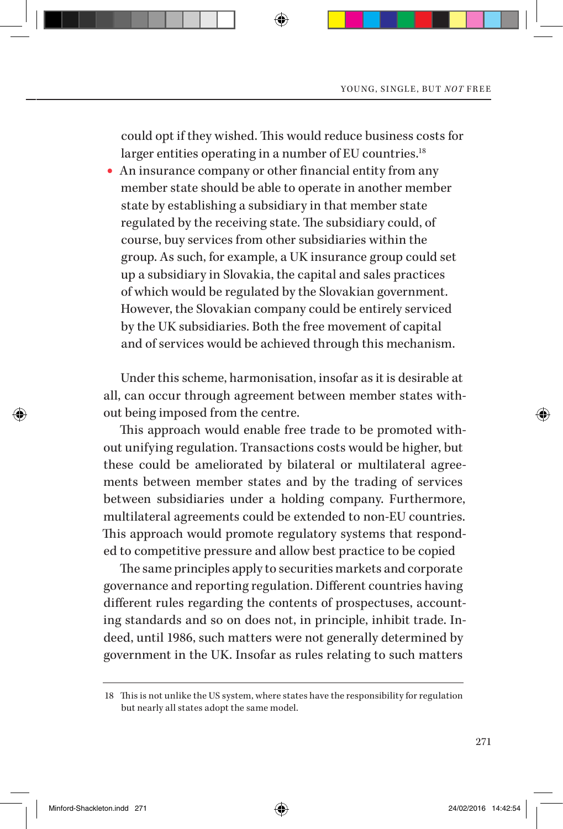could opt if they wished. This would reduce business costs for larger entities operating in a number of EU countries.<sup>18</sup>

**•** An insurance company or other financial entity from any member state should be able to operate in another member state by establishing a subsidiary in that member state regulated by the receiving state. The subsidiary could, of course, buy services from other subsidiaries within the group. As such, for example, a UK insurance group could set up a subsidiary in Slovakia, the capital and sales practices of which would be regulated by the Slovakian government. However, the Slovakian company could be entirely serviced by the UK subsidiaries. Both the free movement of capital and of services would be achieved through this mechanism.

Under this scheme, harmonisation, insofar as it is desirable at all, can occur through agreement between member states without being imposed from the centre.

This approach would enable free trade to be promoted without unifying regulation. Transactions costs would be higher, but these could be ameliorated by bilateral or multilateral agreements between member states and by the trading of services between subsidiaries under a holding company. Furthermore, multilateral agreements could be extended to non-EU countries. This approach would promote regulatory systems that responded to competitive pressure and allow best practice to be copied

The same principles apply to securities markets and corporate governance and reporting regulation. Different countries having different rules regarding the contents of prospectuses, accounting standards and so on does not, in principle, inhibit trade. Indeed, until 1986, such matters were not generally determined by government in the UK. Insofar as rules relating to such matters

<sup>18</sup> This is not unlike the US system, where states have the responsibility for regulation but nearly all states adopt the same model.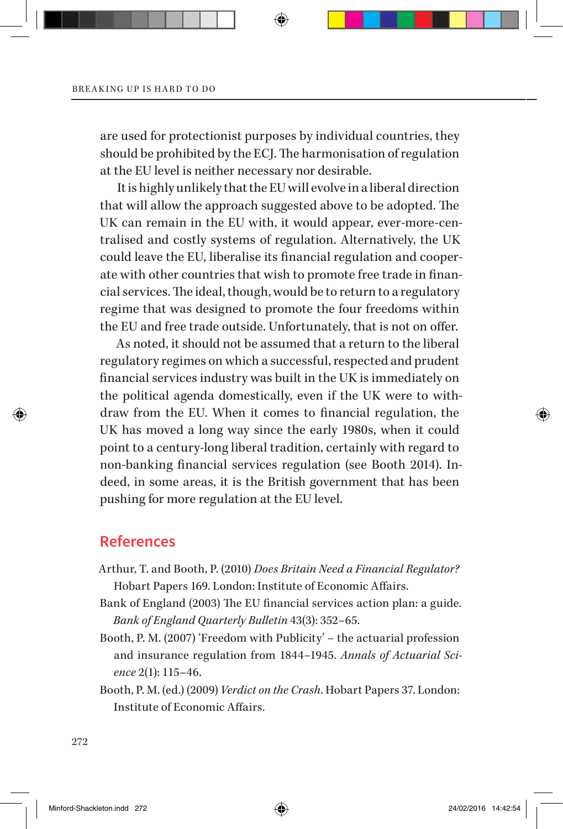are used for protectionist purposes by individual countries, they should be prohibited by the ECJ. The harmonisation of regulation at the EU level is neither necessary nor desirable.

It is highly unlikely that the EU will evolve in a liberal direction that will allow the approach suggested above to be adopted. The UK can remain in the EU with, it would appear, ever-more-centralised and costly systems of regulation. Alternatively, the UK could leave the EU, liberalise its financial regulation and cooperate with other countries that wish to promote free trade in financial services. The ideal, though, would be to return to a regulatory regime that was designed to promote the four freedoms within the EU and free trade outside. Unfortunately, that is not on offer.

As noted, it should not be assumed that a return to the liberal regulatory regimes on which a successful, respected and prudent financial services industry was built in the UK is immediately on the political agenda domestically, even if the UK were to withdraw from the EU. When it comes to financial regulation, the UK has moved a long way since the early 1980s, when it could point to a century-long liberal tradition, certainly with regard to non-banking financial services regulation (see Booth 2014). Indeed, in some areas, it is the British government that has been pushing for more regulation at the EU level.

#### **References**

- Arthur, T. and Booth, P. (2010) *Does Britain Need a Financial Regulator?* Hobart Papers 169. London: Institute of Economic Affairs.
- Bank of England (2003) The EU financial services action plan: a guide. *Bank of England Quarterly Bulletin* 43(3): 352–65.
- Booth, P. M. (2007) 'Freedom with Publicity' the actuarial profession and insurance regulation from 1844–1945. *Annals of Actuarial Science* 2(1): 115–46.
- Booth, P. M. (ed.) (2009) *Verdict on the Crash*. Hobart Papers 37. London: Institute of Economic Affairs.

272